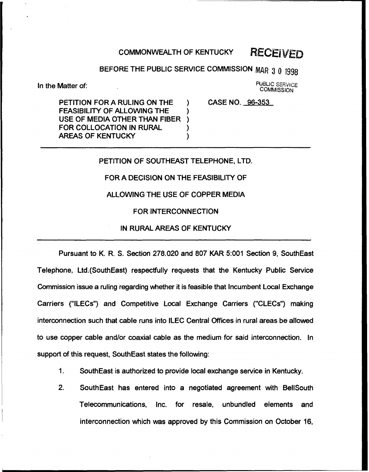# COMMONWEALTH OF KENTUCKY RECEIVED

## BEFORE THE PUBLIC SERVICE COMMISSION MAR 3 0 1998

In the Matter of:

PUBLIC SERVICE **COMMISSION** 

PETITION FOR A RULING ON THE FEASIBILITY OF ALLOWING THE USE OF MEDIA OTHER THAN FIBER ) FOR COLLOCATION IN RURAL (1)<br>AREAS OF KENTUCKY **AREAS OF KENTUCKY** 

CASE NO. 96-353

#### PETITION OF SOUTHEAST TELEPHONE, LTD.

FOR A DECISION ON THE FEASIBILITY OF

#### ALLOWING THE USE OF COPPER MEDIA

#### FOR INTERCONNECTION

#### IN RURAL AREAS OF KENTUCKY

Pursuant to K. R. S. Section 278.020 and 807 KAR 5:001 Section 9, SouthEast Telephone, Ltd.(SouthEast) respectfully requests that the Kentucky Public Service Commission issue a ruling regarding whether it is feasible that Incumbent Local Exchange Carriers ("ILECs") and Competitive Local Exchange Carriers {"CLECs") making interconnection such that cable runs into ILEC Central Offices in rural areas be allowed to use copper cable and/or coaxial cable as the medium for said interconnection. In support of this request, SouthEast states the following:

- 1. SouthEast is authorized to provide local exchange service in Kentucky.
- 2. SouthEast has entered into a negotiated agreement with BelISouth Telecommunications, Inc. for resale, unbundled elements and interconnection which was approved by this Commission on October 16,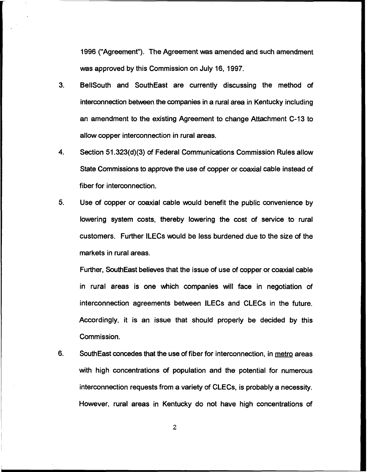1996 ("Agreement"). The Agreement was amended and such amendment was approved by this Commission on July 16, 1997.

- 3. BellSouth and SouthEast are currently discussing the method of interconnection between the companies in a rural area in Kentucky including an amendment to the existing Agreement to change Attachment C-13 to allow copper interconnection in rural areas.
- 4. Section 51.323(d)(3) of Federal Communications Commission Rules allow State Commissions to approve the use of copper or coaxial cable instead of fiber for interconnection.
- 5. Use of copper or coaxial cable would benefit the public convenience by lowering system costs, thereby lowering the cost of service to rural customers. Further ILECs would be less burdened due to the size of the markets in rural areas.

Further, SouthEast believes that the issue of use of copper or coaxial cable in rural areas is one which companies will face in negotiation of interconnection agreements between ILECs and CLECs in the future. Accordingly, it is an issue that should properly be decided by this Commission.

6. SouthEast concedes that the use of fiber for interconnection, in metro areas with high concentrations of population and the potential for numerous interconnection requests from a variety of CLECs, is probably a necessity. However, rural areas in Kentucky do not have high concentrations of

 $\overline{2}$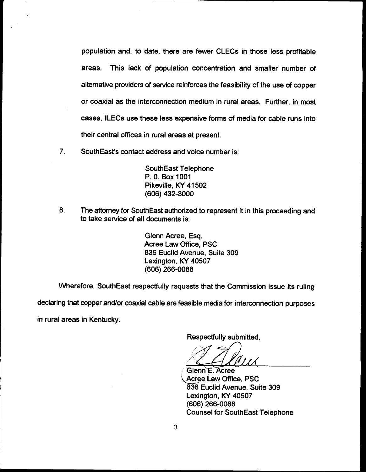population and, to date, there are fewer CLECs in those less profitable areas. This lack of population concentration and smaller number of alternative providers of service reinforces the feasibility of the use of copper or coaxial as the interconnection medium in rural areas. Further, in most cases, ILECs use these less expensive forms of media for cable runs into their central offices in rural areas at present.

7. SouthEast's contact address and voice number is:

SouthEast Telephone P. 0. Box 1001 Pikeville, KY 41502 (606) 432-3000

8. The attorney for SouthEast authorized to represent it in this proceeding and to take service of all documents is:

> Glenn Acree, Esq. Acree Law Office, PSC 836 Euclid Avenue, Suite 309 Lexington, KY 40507 (606) 266-0088

Wherefore, SouthEast respectfully requests that the Commission issue its ruling

declaring that copper and/or coaxial cable are feasible media for interconnection purposes

in rural areas in Kentucky.

Respectfully submitted,

Glenn E. Acree Acree Law Office, PSC 836 Euclid Avenue, Suite 309 Lexington, KY 40507 (606) 266-0088 Counsel for SouthEast Telephone